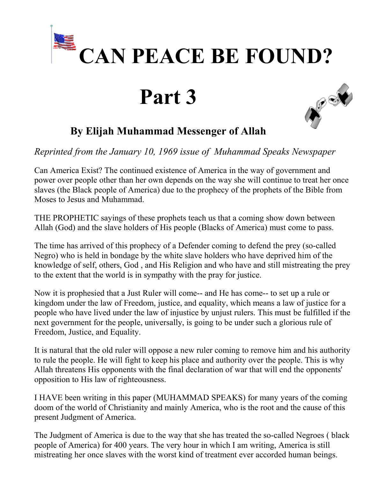

## **Part 3**



## **By Elijah Muhammad Messenger of Allah**

*Reprinted from the January 10, 1969 issue of Muhammad Speaks Newspaper* 

Can America Exist? The continued existence of America in the way of government and power over people other than her own depends on the way she will continue to treat her once slaves (the Black people of America) due to the prophecy of the prophets of the Bible from Moses to Jesus and Muhammad.

THE PROPHETIC sayings of these prophets teach us that a coming show down between Allah (God) and the slave holders of His people (Blacks of America) must come to pass.

The time has arrived of this prophecy of a Defender coming to defend the prey (so-called Negro) who is held in bondage by the white slave holders who have deprived him of the knowledge of self, others, God , and His Religion and who have and still mistreating the prey to the extent that the world is in sympathy with the pray for justice.

Now it is prophesied that a Just Ruler will come-- and He has come-- to set up a rule or kingdom under the law of Freedom, justice, and equality, which means a law of justice for a people who have lived under the law of injustice by unjust rulers. This must be fulfilled if the next government for the people, universally, is going to be under such a glorious rule of Freedom, Justice, and Equality.

It is natural that the old ruler will oppose a new ruler coming to remove him and his authority to rule the people. He will fight to keep his place and authority over the people. This is why Allah threatens His opponents with the final declaration of war that will end the opponents' opposition to His law of righteousness.

I HAVE been writing in this paper (MUHAMMAD SPEAKS) for many years of the coming doom of the world of Christianity and mainly America, who is the root and the cause of this present Judgment of America.

The Judgment of America is due to the way that she has treated the so-called Negroes ( black people of America) for 400 years. The very hour in which I am writing, America is still mistreating her once slaves with the worst kind of treatment ever accorded human beings.